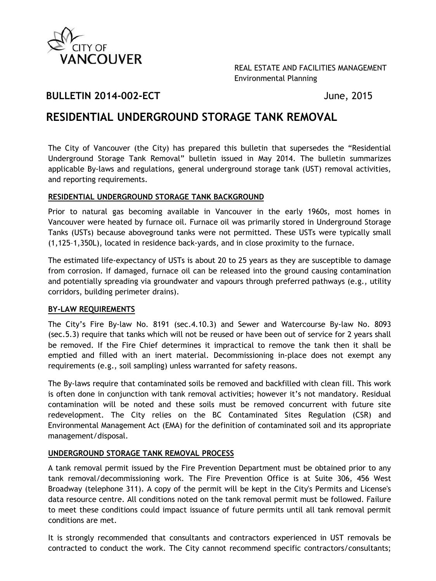

REAL ESTATE AND FACILITIES MANAGEMENT Environmental Planning

# **BULLETIN 2014-002-ECT** June, 2015

# **RESIDENTIAL UNDERGROUND STORAGE TANK REMOVAL**

The City of Vancouver (the City) has prepared this bulletin that supersedes the "Residential Underground Storage Tank Removal" bulletin issued in May 2014. The bulletin summarizes applicable By-laws and regulations, general underground storage tank (UST) removal activities, and reporting requirements.

## **RESIDENTIAL UNDERGROUND STORAGE TANK BACKGROUND**

Prior to natural gas becoming available in Vancouver in the early 1960s, most homes in Vancouver were heated by furnace oil. Furnace oil was primarily stored in Underground Storage Tanks (USTs) because aboveground tanks were not permitted. These USTs were typically small (1,125–1,350L), located in residence back-yards, and in close proximity to the furnace.

The estimated life-expectancy of USTs is about 20 to 25 years as they are susceptible to damage from corrosion. If damaged, furnace oil can be released into the ground causing contamination and potentially spreading via groundwater and vapours through preferred pathways (e.g., utility corridors, building perimeter drains).

#### **BY-LAW REQUIREMENTS**

The City's Fire By-law No. 8191 (sec.4.10.3) and Sewer and Watercourse By-law No. 8093 (sec.5.3) require that tanks which will not be reused or have been out of service for 2 years shall be removed. If the Fire Chief determines it impractical to remove the tank then it shall be emptied and filled with an inert material. Decommissioning in-place does not exempt any requirements (e.g., soil sampling) unless warranted for safety reasons.

The By-laws require that contaminated soils be removed and backfilled with clean fill. This work is often done in conjunction with tank removal activities; however it's not mandatory. Residual contamination will be noted and these soils must be removed concurrent with future site redevelopment. The City relies on the BC Contaminated Sites Regulation (CSR) and Environmental Management Act (EMA) for the definition of contaminated soil and its appropriate management/disposal.

# **UNDERGROUND STORAGE TANK REMOVAL PROCESS**

A tank removal permit issued by the Fire Prevention Department must be obtained prior to any tank removal/decommissioning work. The Fire Prevention Office is at Suite 306, 456 West Broadway (telephone 311). A copy of the permit will be kept in the City's Permits and License's data resource centre. All conditions noted on the tank removal permit must be followed. Failure to meet these conditions could impact issuance of future permits until all tank removal permit conditions are met.

It is strongly recommended that consultants and contractors experienced in UST removals be contracted to conduct the work. The City cannot recommend specific contractors/consultants;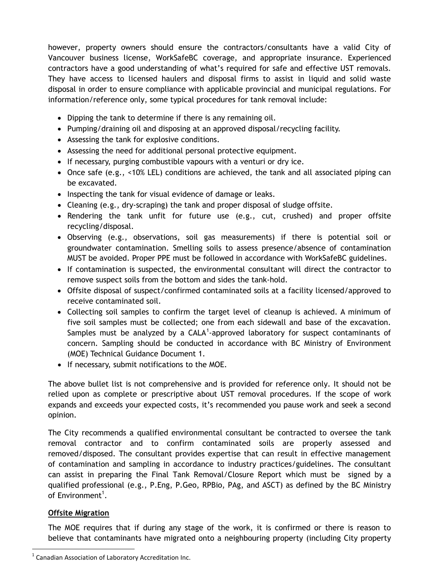however, property owners should ensure the contractors/consultants have a valid City of Vancouver business license, WorkSafeBC coverage, and appropriate insurance. Experienced contractors have a good understanding of what's required for safe and effective UST removals. They have access to licensed haulers and disposal firms to assist in liquid and solid waste disposal in order to ensure compliance with applicable provincial and municipal regulations. For information/reference only, some typical procedures for tank removal include:

- Dipping the tank to determine if there is any remaining oil.
- Pumping/draining oil and disposing at an approved disposal/recycling facility.
- Assessing the tank for explosive conditions.
- Assessing the need for additional personal protective equipment.
- If necessary, purging combustible vapours with a venturi or dry ice.
- Once safe (e.g., <10% LEL) conditions are achieved, the tank and all associated piping can be excavated.
- Inspecting the tank for visual evidence of damage or leaks.
- Cleaning (e.g., dry-scraping) the tank and proper disposal of sludge offsite.
- Rendering the tank unfit for future use (e.g., cut, crushed) and proper offsite recycling/disposal.
- Observing (e.g., observations, soil gas measurements) if there is potential soil or groundwater contamination. Smelling soils to assess presence/absence of contamination MUST be avoided. Proper PPE must be followed in accordance with WorkSafeBC guidelines.
- If contamination is suspected, the environmental consultant will direct the contractor to remove suspect soils from the bottom and sides the tank-hold.
- Offsite disposal of suspect/confirmed contaminated soils at a facility licensed/approved to receive contaminated soil.
- Collecting soil samples to confirm the target level of cleanup is achieved. A minimum of five soil samples must be collected; one from each sidewall and base of the excavation. Samples must be analyzed by a CALA<sup>[1](#page-1-0)</sup>-approved laboratory for suspect contaminants of concern. Sampling should be conducted in accordance with BC Ministry of Environment (MOE) Technical Guidance Document 1.
- If necessary, submit notifications to the MOE.

The above bullet list is not comprehensive and is provided for reference only. It should not be relied upon as complete or prescriptive about UST removal procedures. If the scope of work expands and exceeds your expected costs, it's recommended you pause work and seek a second opinion.

The City recommends a qualified environmental consultant be contracted to oversee the tank removal contractor and to confirm contaminated soils are properly assessed and removed/disposed. The consultant provides expertise that can result in effective management of contamination and sampling in accordance to industry practices/guidelines. The consultant can assist in preparing the Final Tank Removal/Closure Report which must be signed by a qualified professional (e.g., P.Eng, P.Geo, RPBio, PAg, and ASCT) as defined by the BC Ministry of Environment<sup>1</sup>.

# **Offsite Migration**

l

The MOE requires that if during any stage of the work, it is confirmed or there is reason to believe that contaminants have migrated onto a neighbouring property (including City property

<span id="page-1-0"></span> $1$  Canadian Association of Laboratory Accreditation Inc.